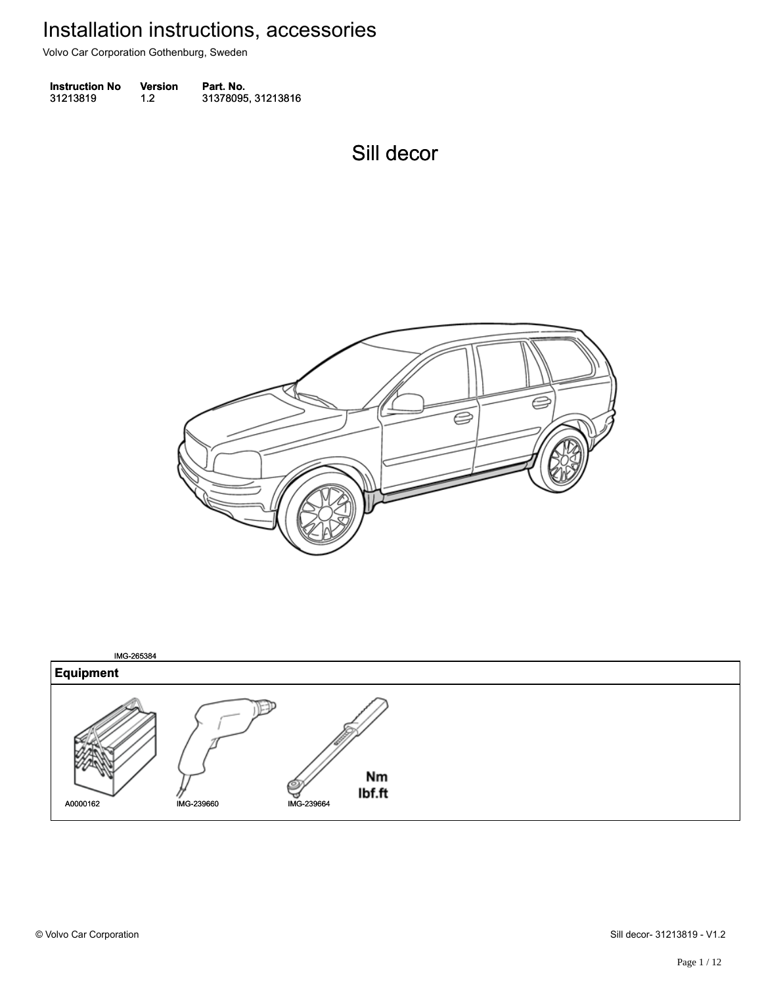Volvo Car Corporation Gothenburg, Sweden

**Instruction No** Version Part. No. 31213819 1.2 31378095, 31213816 312138191.231378095, 31213816

Sill decor Sill decor



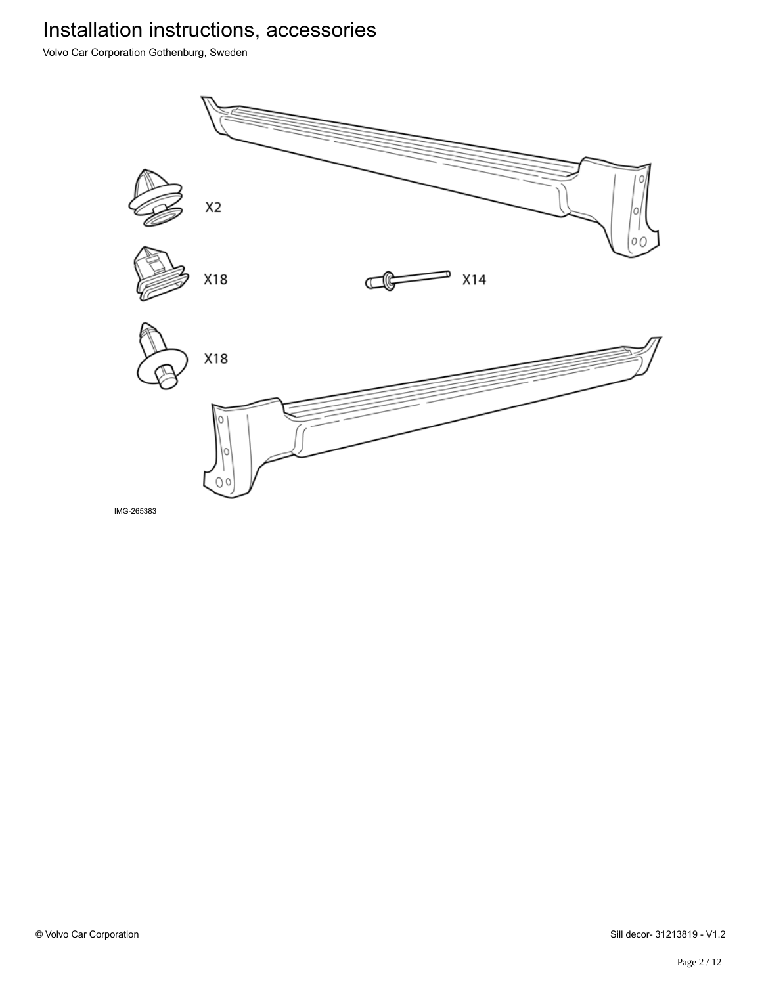Volvo Car Corporation Gothenburg, Sweden

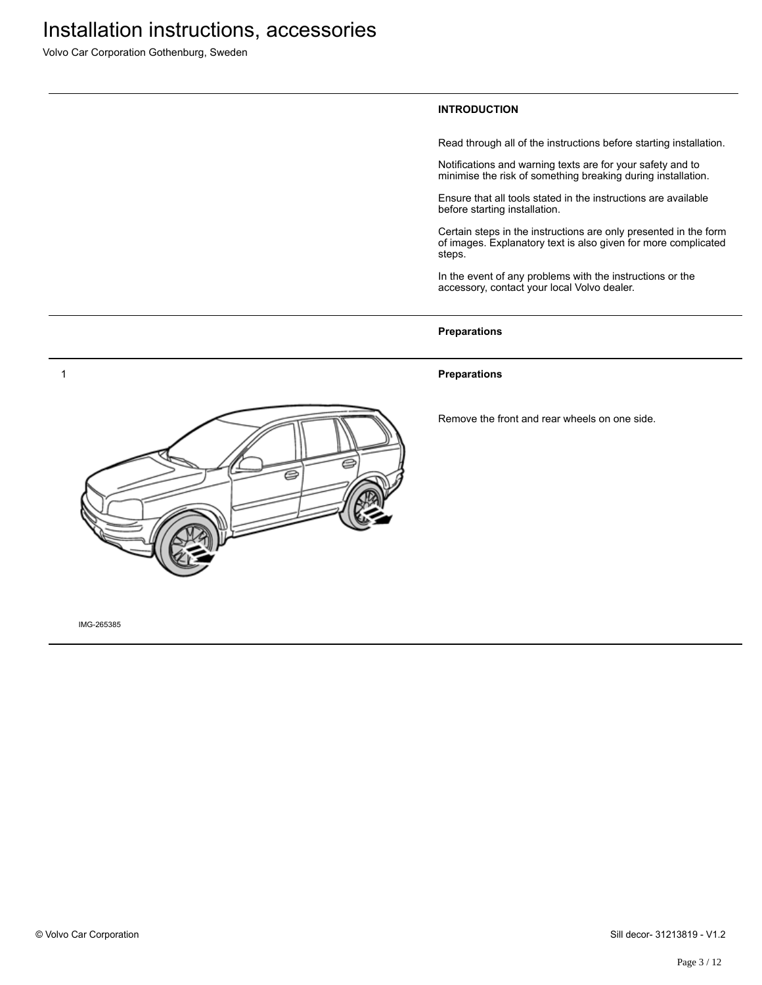Volvo Car Corporation Gothenburg, Sweden

#### **INTRODUCTION**

Read through all of the instructions before starting installation.

Notifications and warning texts are for your safety and to minimise the risk of something breaking during installation.

Ensure that all tools stated in the instructions are available before starting installation.

Certain steps in the instructions are only presented in the form of images. Explanatory text is also given for more complicated steps.

In the event of any problems with the instructions or the accessory, contact your local Volvo dealer.

#### **Preparations**

#### **Preparations**

Remove the front and rear wheels on one side.

![](_page_2_Picture_11.jpeg)

IMG-265385

1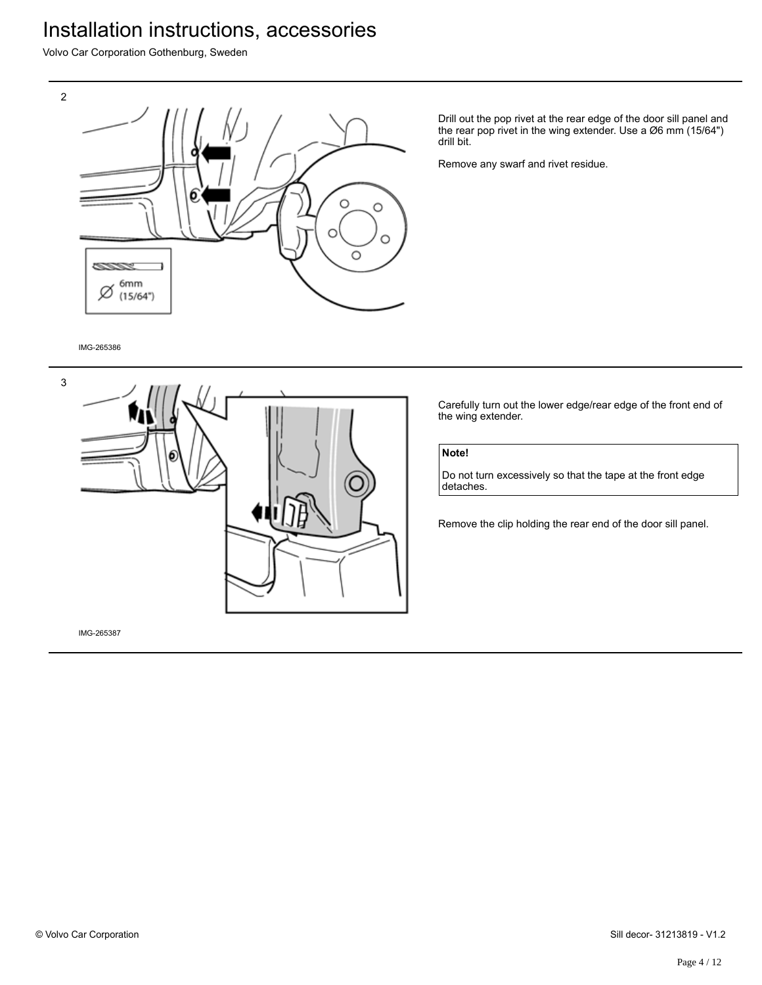Volvo Car Corporation Gothenburg, Sweden

![](_page_3_Figure_2.jpeg)

Drill out the pop rivet at the rear edge of the door sill panel and the rear pop rivet in the wing extender. Use a Ø6 mm (15/64") drill bit.

Remove any swarf and rivet residue.

IMG-265386

![](_page_3_Figure_6.jpeg)

Carefully turn out the lower edge/rear edge of the front end of the wing extender.

### **Note!**

Do not turn excessively so that the tape at the front edge detaches.

Remove the clip holding the rear end of the door sill panel.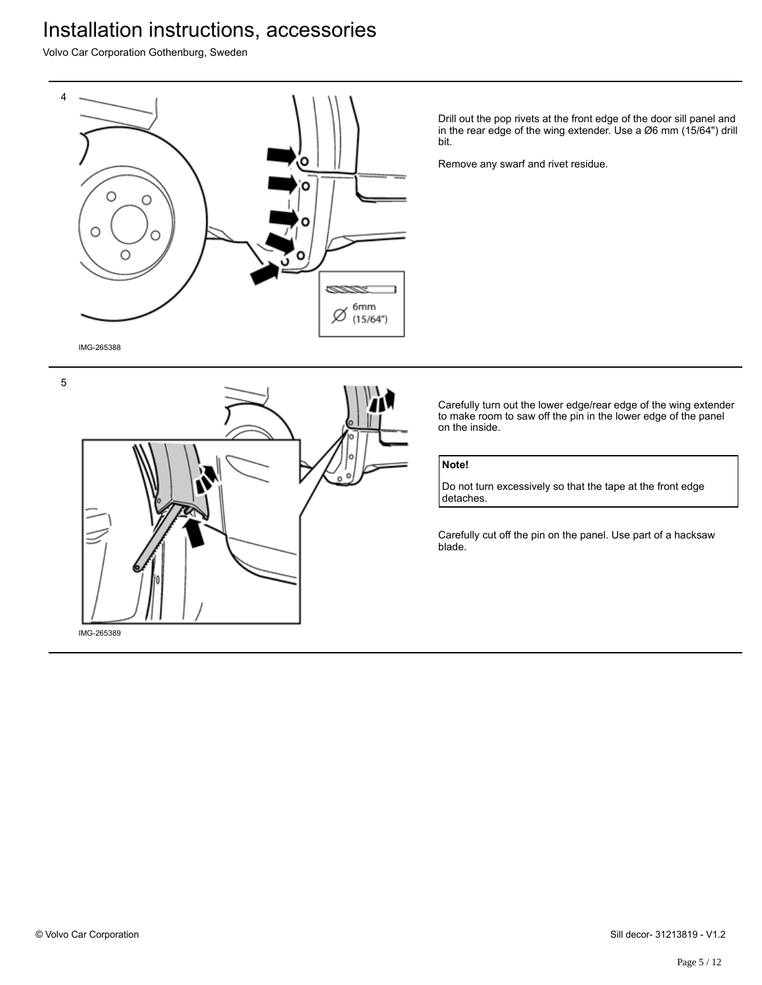Volvo Car Corporation Gothenburg, Sweden

![](_page_4_Figure_2.jpeg)

Drill out the pop rivets at the front edge of the door sill panel and in the rear edge of the wing extender. Use a Ø6 mm (15/64") drill bit.

Remove any swarf and rivet residue.

Carefully turn out the lower edge/rear edge of the wing extender to make room to saw off the pin in the lower edge of the panel on the inside.

### **Note!**

Do not turn excessively so that the tape at the front edge detaches.

Carefully cut off the pin on the panel. Use part of a hacksaw blade.

![](_page_4_Picture_9.jpeg)

![](_page_4_Figure_10.jpeg)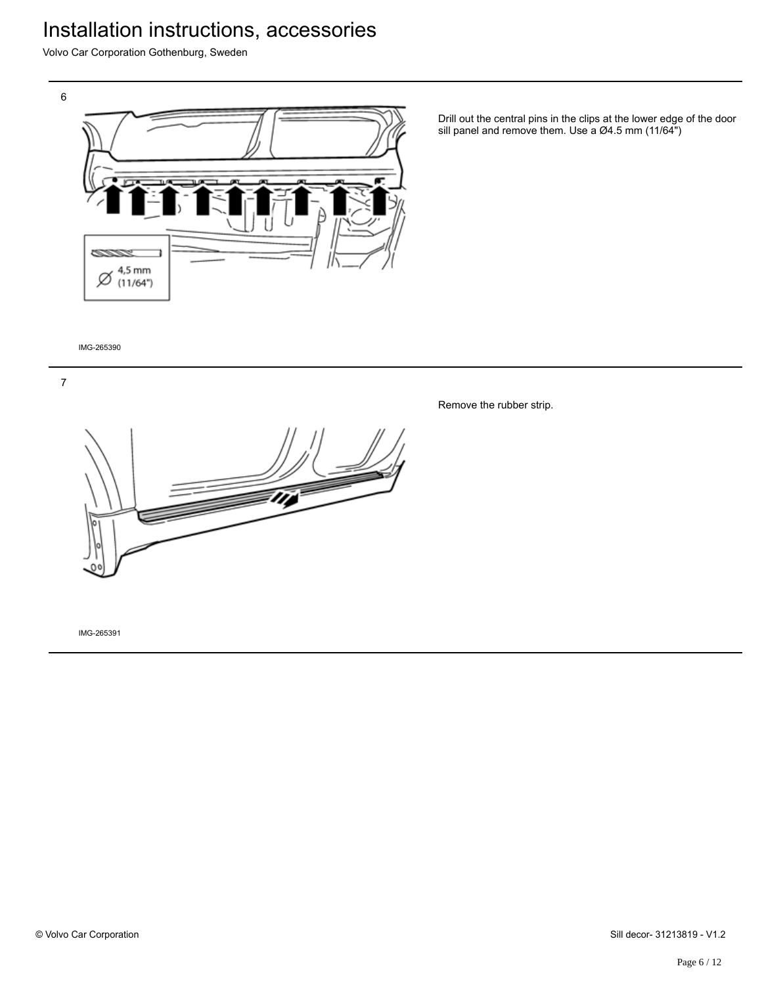Volvo Car Corporation Gothenburg, Sweden

![](_page_5_Picture_3.jpeg)

Drill out the central pins in the clips at the lower edge of the door sill panel and remove them. Use a Ø4.5 mm (11/64")

IMG-265390

![](_page_5_Picture_6.jpeg)

Remove the rubber strip.

![](_page_5_Picture_8.jpeg)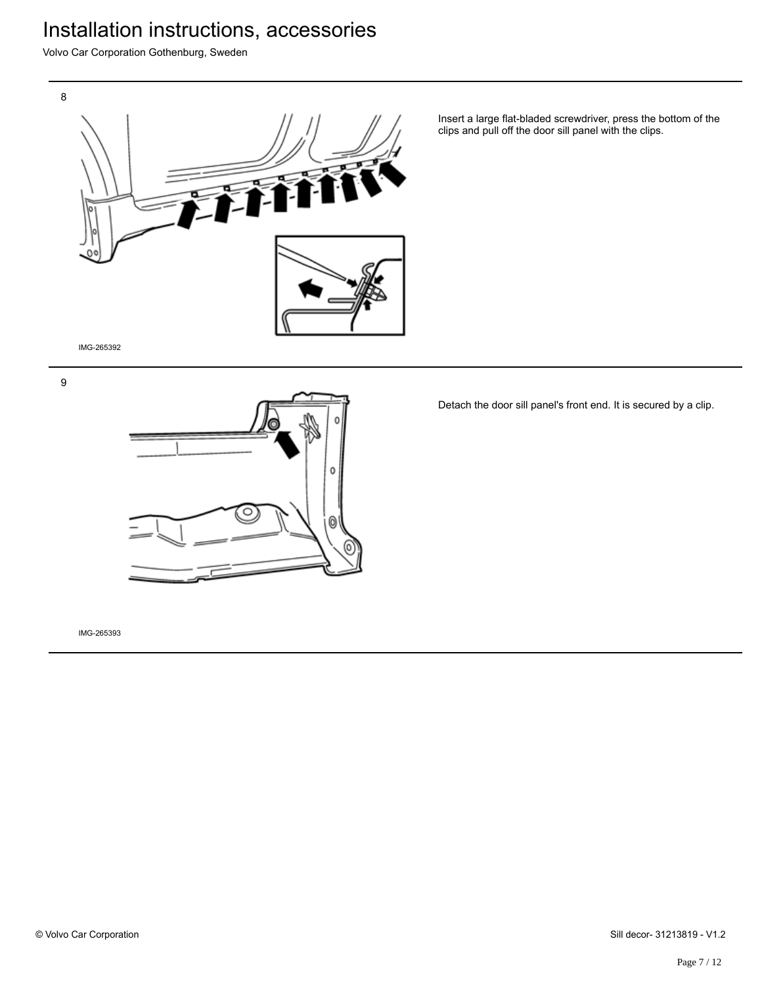Volvo Car Corporation Gothenburg, Sweden

![](_page_6_Picture_2.jpeg)

Insert a large flat-bladed screwdriver, press the bottom of the clips and pull off the door sill panel with the clips.

IMG-265392

9

![](_page_6_Picture_6.jpeg)

Detach the door sill panel's front end. It is secured by a clip.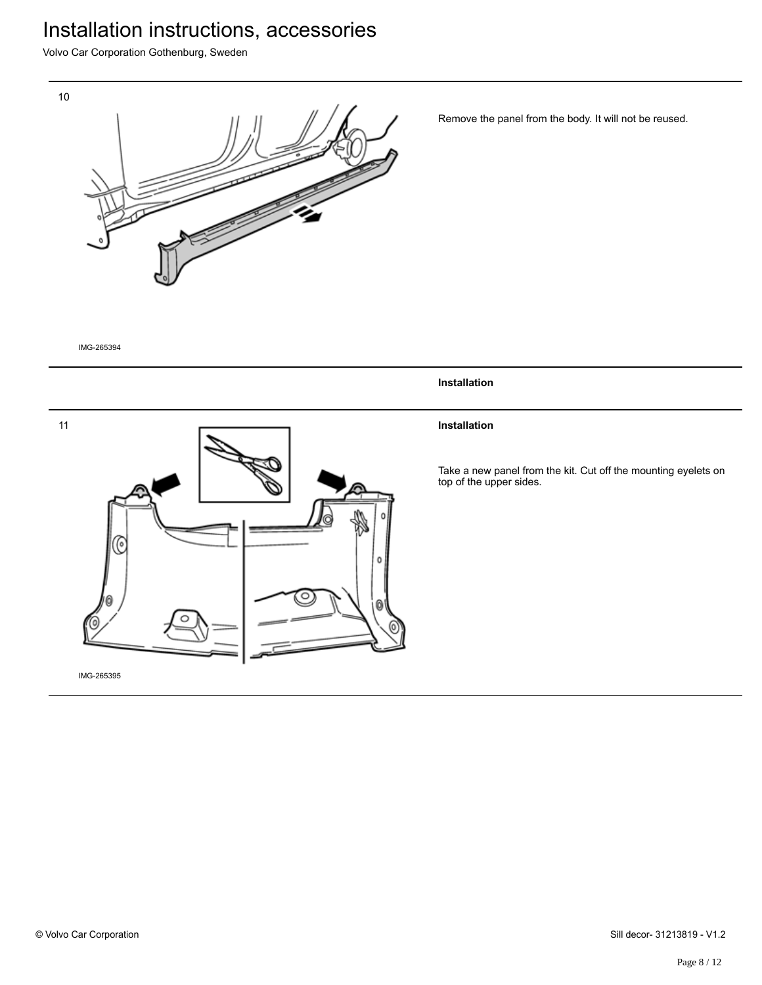Volvo Car Corporation Gothenburg, Sweden

![](_page_7_Picture_2.jpeg)

Remove the panel from the body. It will not be reused.

IMG-265394

![](_page_7_Figure_5.jpeg)

**Installation**

### **Installation**

Take a new panel from the kit. Cut off the mounting eyelets on top of the upper sides.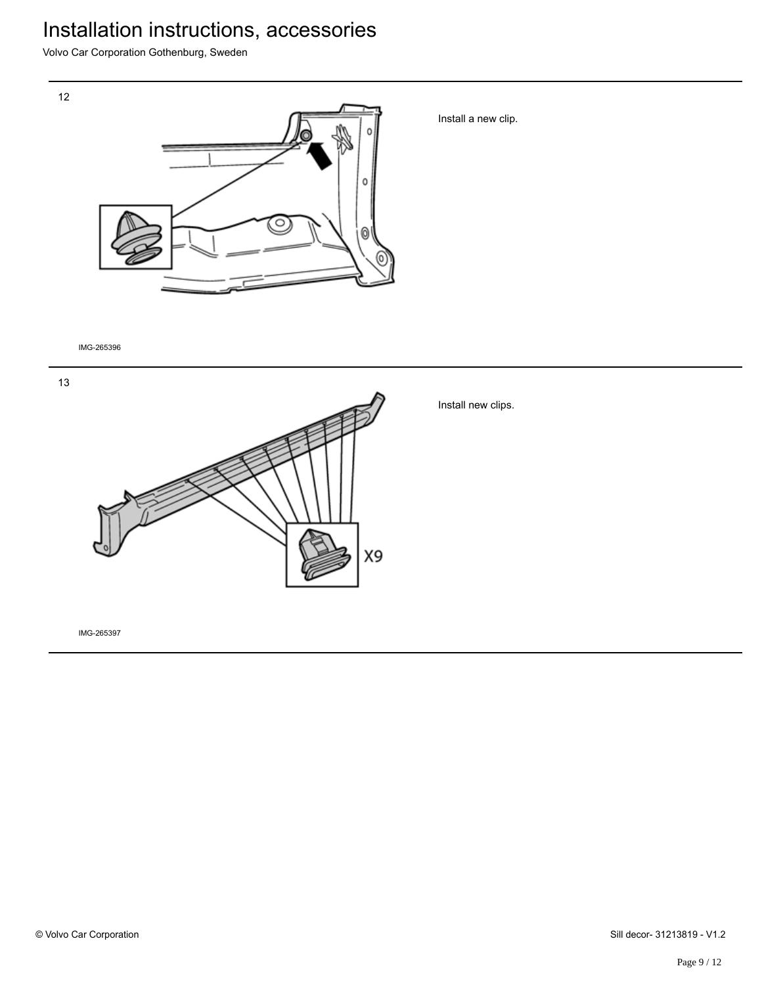Volvo Car Corporation Gothenburg, Sweden

![](_page_8_Picture_2.jpeg)

Install a new clip.

IMG-265396

12

![](_page_8_Picture_5.jpeg)

Install new clips.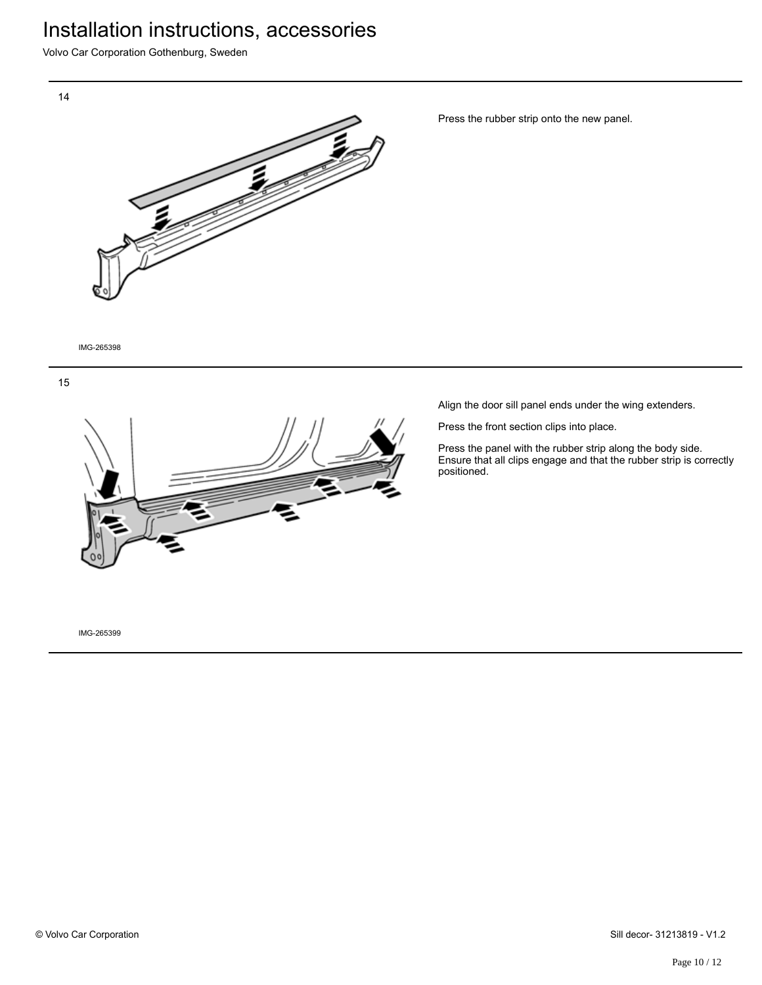Volvo Car Corporation Gothenburg, Sweden

![](_page_9_Picture_2.jpeg)

Press the rubber strip onto the new panel.

IMG-265398

![](_page_9_Figure_5.jpeg)

![](_page_9_Picture_6.jpeg)

Align the door sill panel ends under the wing extenders.

Press the front section clips into place.

Press the panel with the rubber strip along the body side. Ensure that all clips engage and that the rubber strip is correctly positioned.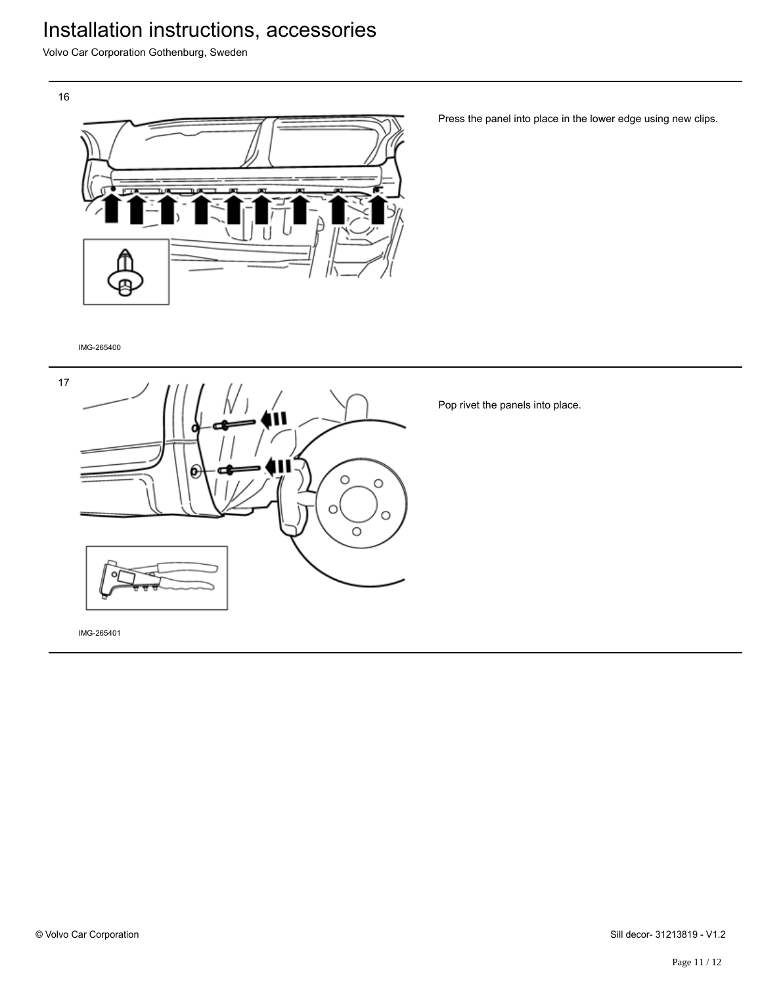Volvo Car Corporation Gothenburg, Sweden

16

![](_page_10_Picture_3.jpeg)

Press the panel into place in the lower edge using new clips.

IMG-265400

![](_page_10_Figure_6.jpeg)

Pop rivet the panels into place.